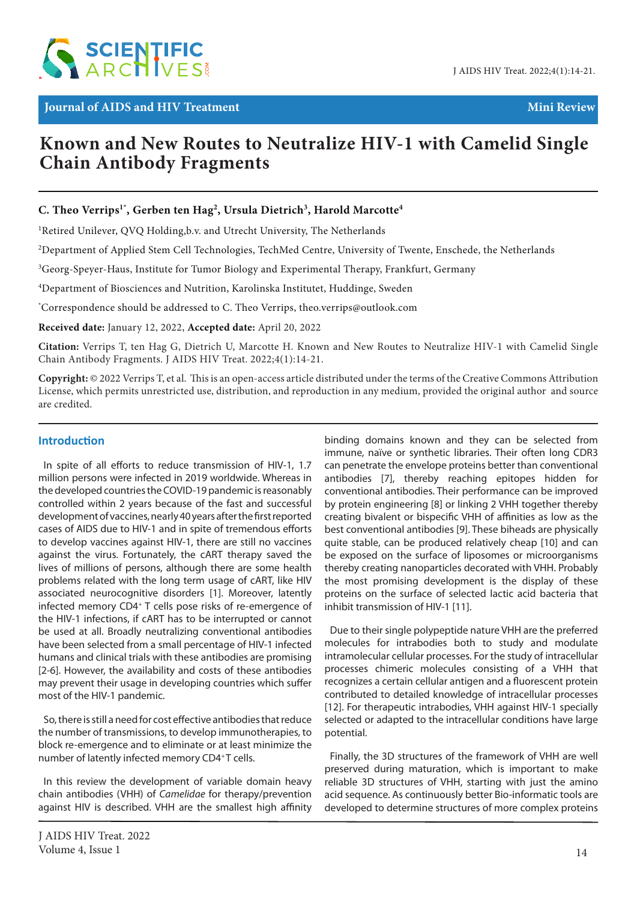

# **Known and New Routes to Neutralize HIV-1 with Camelid Single Chain Antibody Fragments**

## **C. Theo Verrips1\* , Gerben ten Hag2 , Ursula Dietrich3 , Harold Marcotte4**

<sup>1</sup>Retired Unilever, QVQ Holding,b.v. and Utrecht University, The Netherlands

 $^2$ Department of Applied Stem Cell Technologies, TechMed Centre, University of Twente, Enschede, the Netherlands

 $^3$ Georg-Speyer-Haus, Institute for Tumor Biology and Experimental Therapy, Frankfurt, Germany

4 Department of Biosciences and Nutrition, Karolinska Institutet, Huddinge, Sweden

\* Correspondence should be addressed to C. Theo Verrips, theo.verrips@outlook.com

**Received date:** January 12, 2022, **Accepted date:** April 20, 2022

**Citation:** Verrips T, ten Hag G, Dietrich U, Marcotte H. Known and New Routes to Neutralize HIV-1 with Camelid Single Chain Antibody Fragments. J AIDS HIV Treat. 2022;4(1):14-21.

**Copyright:** © 2022 Verrips T, et al. This is an open-access article distributed under the terms of the Creative Commons Attribution License, which permits unrestricted use, distribution, and reproduction in any medium, provided the original author and source are credited.

## **Introduction**

In spite of all efforts to reduce transmission of HIV-1, 1.7 million persons were infected in 2019 worldwide. Whereas in the developed countries the COVID-19 pandemic is reasonably controlled within 2 years because of the fast and successful development of vaccines, nearly 40 years after the first reported cases of AIDS due to HIV-1 and in spite of tremendous efforts to develop vaccines against HIV-1, there are still no vaccines against the virus. Fortunately, the cART therapy saved the lives of millions of persons, although there are some health problems related with the long term usage of cART, like HIV associated neurocognitive disorders [1]. Moreover, latently infected memory CD4+ T cells pose risks of re-emergence of the HIV-1 infections, if cART has to be interrupted or cannot be used at all. Broadly neutralizing conventional antibodies have been selected from a small percentage of HIV-1 infected humans and clinical trials with these antibodies are promising [2-6]. However, the availability and costs of these antibodies may prevent their usage in developing countries which suffer most of the HIV-1 pandemic.

So, there is still a need for cost effective antibodies that reduce the number of transmissions, to develop immunotherapies, to block re-emergence and to eliminate or at least minimize the number of latently infected memory CD4+T cells.

In this review the development of variable domain heavy chain antibodies (VHH) of *Camelidae* for therapy/prevention against HIV is described. VHH are the smallest high affinity

binding domains known and they can be selected from immune, naïve or synthetic libraries. Their often long CDR3 can penetrate the envelope proteins better than conventional antibodies [7], thereby reaching epitopes hidden for conventional antibodies. Their performance can be improved by protein engineering [8] or linking 2 VHH together thereby creating bivalent or bispecific VHH of affinities as low as the best conventional antibodies [9]. These biheads are physically quite stable, can be produced relatively cheap [10] and can be exposed on the surface of liposomes or microorganisms thereby creating nanoparticles decorated with VHH. Probably the most promising development is the display of these proteins on the surface of selected lactic acid bacteria that inhibit transmission of HIV-1 [11].

Due to their single polypeptide nature VHH are the preferred molecules for intrabodies both to study and modulate intramolecular cellular processes. For the study of intracellular processes chimeric molecules consisting of a VHH that recognizes a certain cellular antigen and a fluorescent protein contributed to detailed knowledge of intracellular processes [12]. For therapeutic intrabodies, VHH against HIV-1 specially selected or adapted to the intracellular conditions have large potential.

Finally, the 3D structures of the framework of VHH are well preserved during maturation, which is important to make reliable 3D structures of VHH, starting with just the amino acid sequence. As continuously better Bio-informatic tools are developed to determine structures of more complex proteins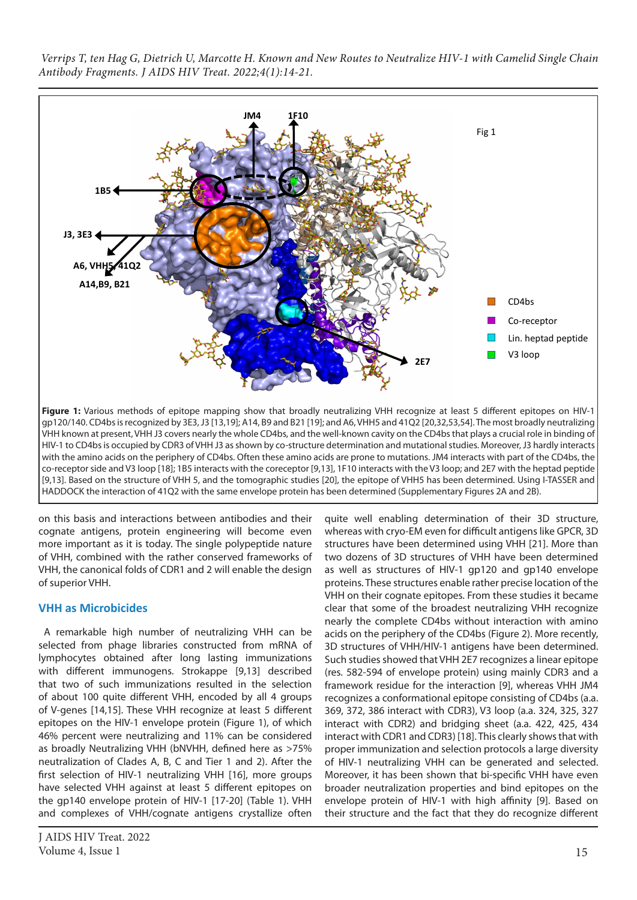

HIV-1 to CD4bs is occupied by CDR3 of VHH J3 as shown by co-structure determination and mutational studies. Moreover, J3 hardly interacts with the amino acids on the periphery of CD4bs. Often these amino acids are prone to mutations. JM4 interacts with part of the CD4bs, the co-receptor side and V3 loop [18]; 1B5 interacts with the coreceptor [9,13], 1F10 interacts with the V3 loop; and 2E7 with the heptad peptide [9,13]. Based on the structure of VHH 5, and the tomographic studies [20], the epitope of VHH5 has been determined. Using I-TASSER and HADDOCK the interaction of 41Q2 with the same envelope protein has been determined (Supplementary Figures 2A and 2B).

on this basis and interactions between antibodies and their cognate antigens, protein engineering will become even more important as it is today. The single polypeptide nature of VHH, combined with the rather conserved frameworks of VHH, the canonical folds of CDR1 and 2 will enable the design of superior VHH.

## **VHH as Microbicides**

A remarkable high number of neutralizing VHH can be selected from phage libraries constructed from mRNA of lymphocytes obtained after long lasting immunizations with different immunogens. Strokappe [9,13] described that two of such immunizations resulted in the selection of about 100 quite different VHH, encoded by all 4 groups of V-genes [14,15]. These VHH recognize at least 5 different epitopes on the HIV-1 envelope protein (Figure 1), of which 46% percent were neutralizing and 11% can be considered as broadly Neutralizing VHH (bNVHH, defined here as >75% neutralization of Clades A, B, C and Tier 1 and 2). After the first selection of HIV-1 neutralizing VHH [16], more groups have selected VHH against at least 5 different epitopes on the gp140 envelope protein of HIV-1 [17-20] (Table 1). VHH and complexes of VHH/cognate antigens crystallize often

quite well enabling determination of their 3D structure, whereas with cryo-EM even for difficult antigens like GPCR, 3D structures have been determined using VHH [21]. More than two dozens of 3D structures of VHH have been determined as well as structures of HIV-1 gp120 and gp140 envelope proteins. These structures enable rather precise location of the VHH on their cognate epitopes. From these studies it became clear that some of the broadest neutralizing VHH recognize nearly the complete CD4bs without interaction with amino acids on the periphery of the CD4bs (Figure 2). More recently, 3D structures of VHH/HIV-1 antigens have been determined. Such studies showed that VHH 2E7 recognizes a linear epitope (res. 582-594 of envelope protein) using mainly CDR3 and a framework residue for the interaction [9], whereas VHH JM4 recognizes a conformational epitope consisting of CD4bs (a.a. 369, 372, 386 interact with CDR3), V3 loop (a.a. 324, 325, 327 interact with CDR2) and bridging sheet (a.a. 422, 425, 434 interact with CDR1 and CDR3) [18]. This clearly shows that with proper immunization and selection protocols a large diversity of HIV-1 neutralizing VHH can be generated and selected. Moreover, it has been shown that bi-specific VHH have even broader neutralization properties and bind epitopes on the envelope protein of HIV-1 with high affinity [9]. Based on their structure and the fact that they do recognize different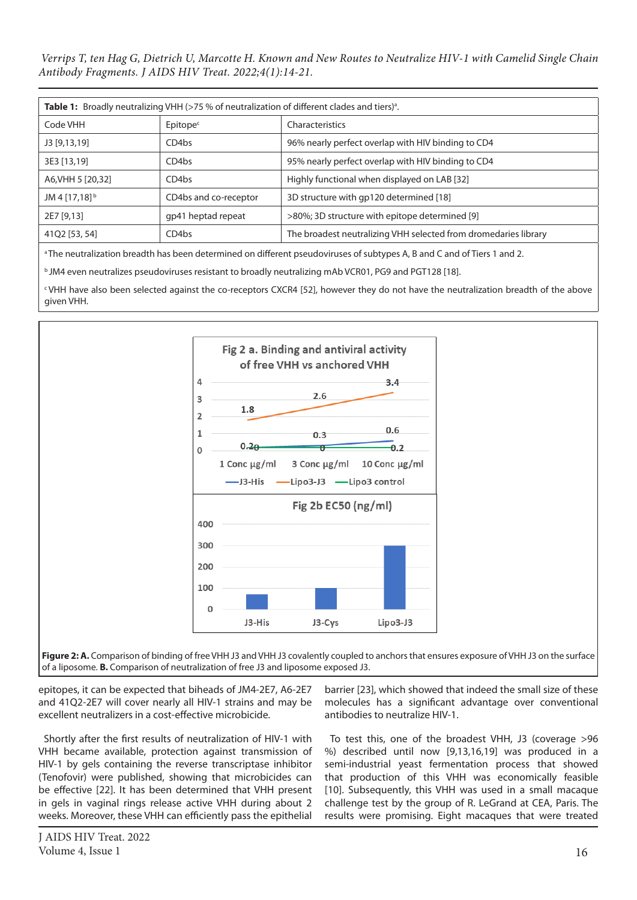| <b>Table 1:</b> Broadly neutralizing VHH (>75 % of neutralization of different clades and tiers) <sup>a</sup> . |                       |                                                                 |
|-----------------------------------------------------------------------------------------------------------------|-----------------------|-----------------------------------------------------------------|
| Code VHH                                                                                                        | Epitope <sup>c</sup>  | Characteristics                                                 |
| J3 [9,13,19]                                                                                                    | CD4 <sub>bs</sub>     | 96% nearly perfect overlap with HIV binding to CD4              |
| 3E3 [13,19]                                                                                                     | CD4 <sub>bs</sub>     | 95% nearly perfect overlap with HIV binding to CD4              |
| A6, VHH 5 [20, 32]                                                                                              | CD <sub>4</sub> bs    | Highly functional when displayed on LAB [32]                    |
| JM 4 [17,18] <sup>b</sup>                                                                                       | CD4bs and co-receptor | 3D structure with gp120 determined [18]                         |
| 2E7 [9,13]                                                                                                      | gp41 heptad repeat    | >80%; 3D structure with epitope determined [9]                  |
| 41Q2 [53, 54]                                                                                                   | CD4bs                 | The broadest neutralizing VHH selected from dromedaries library |

<sup>a</sup> The neutralization breadth has been determined on different pseudoviruses of subtypes A, B and C and of Tiers 1 and 2.

b JM4 even neutralizes pseudoviruses resistant to broadly neutralizing mAb VCR01, PG9 and PGT128 [18].

c VHH have also been selected against the co-receptors CXCR4 [52], however they do not have the neutralization breadth of the above given VHH.



**Figure 2: A.** Comparison of binding of free VHH J3 and VHH J3 covalently coupled to anchors that ensures exposure of VHH J3 on the surface of a liposome. **B.** Comparison of neutralization of free J3 and liposome exposed J3.

epitopes, it can be expected that biheads of JM4-2E7, A6-2E7 and 41Q2-2E7 will cover nearly all HIV-1 strains and may be excellent neutralizers in a cost-effective microbicide.

Shortly after the first results of neutralization of HIV-1 with VHH became available, protection against transmission of HIV-1 by gels containing the reverse transcriptase inhibitor (Tenofovir) were published, showing that microbicides can be effective [22]. It has been determined that VHH present in gels in vaginal rings release active VHH during about 2 weeks. Moreover, these VHH can efficiently pass the epithelial

barrier [23], which showed that indeed the small size of these molecules has a significant advantage over conventional antibodies to neutralize HIV-1.

To test this, one of the broadest VHH, J3 (coverage >96 %) described until now [9,13,16,19] was produced in a semi-industrial yeast fermentation process that showed that production of this VHH was economically feasible [10]. Subsequently, this VHH was used in a small macaque challenge test by the group of R. LeGrand at CEA, Paris. The results were promising. Eight macaques that were treated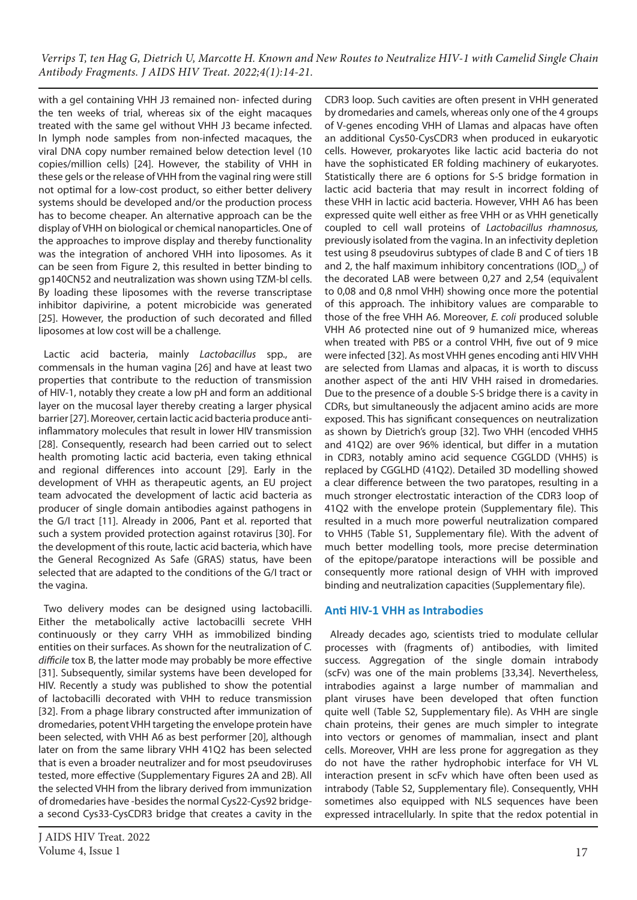with a gel containing VHH J3 remained non- infected during the ten weeks of trial, whereas six of the eight macaques treated with the same gel without VHH J3 became infected. In lymph node samples from non-infected macaques, the viral DNA copy number remained below detection level (10 copies/million cells) [24]. However, the stability of VHH in these gels or the release of VHH from the vaginal ring were still not optimal for a low-cost product, so either better delivery systems should be developed and/or the production process has to become cheaper. An alternative approach can be the display of VHH on biological or chemical nanoparticles. One of the approaches to improve display and thereby functionality was the integration of anchored VHH into liposomes. As it can be seen from Figure 2, this resulted in better binding to gp140CN52 and neutralization was shown using TZM-bl cells. By loading these liposomes with the reverse transcriptase inhibitor dapivirine, a potent microbicide was generated [25]. However, the production of such decorated and filled liposomes at low cost will be a challenge.

Lactic acid bacteria, mainly *Lactobacillus* spp., are commensals in the human vagina [26] and have at least two properties that contribute to the reduction of transmission of HIV-1, notably they create a low pH and form an additional layer on the mucosal layer thereby creating a larger physical barrier [27]. Moreover, certain lactic acid bacteria produce antiinflammatory molecules that result in lower HIV transmission [28]. Consequently, research had been carried out to select health promoting lactic acid bacteria, even taking ethnical and regional differences into account [29]. Early in the development of VHH as therapeutic agents, an EU project team advocated the development of lactic acid bacteria as producer of single domain antibodies against pathogens in the G/I tract [11]. Already in 2006, Pant et al. reported that such a system provided protection against rotavirus [30]. For the development of this route, lactic acid bacteria, which have the General Recognized As Safe (GRAS) status, have been selected that are adapted to the conditions of the G/I tract or the vagina.

Two delivery modes can be designed using lactobacilli. Either the metabolically active lactobacilli secrete VHH continuously or they carry VHH as immobilized binding entities on their surfaces. As shown for the neutralization of *C. difficile* tox B, the latter mode may probably be more effective [31]. Subsequently, similar systems have been developed for HIV. Recently a study was published to show the potential of lactobacilli decorated with VHH to reduce transmission [32]. From a phage library constructed after immunization of dromedaries, potent VHH targeting the envelope protein have been selected, with VHH A6 as best performer [20], although later on from the same library VHH 41Q2 has been selected that is even a broader neutralizer and for most pseudoviruses tested, more effective (Supplementary Figures 2A and 2B). All the selected VHH from the library derived from immunization of dromedaries have -besides the normal Cys22-Cys92 bridgea second Cys33-CysCDR3 bridge that creates a cavity in the

CDR3 loop. Such cavities are often present in VHH generated by dromedaries and camels, whereas only one of the 4 groups of V-genes encoding VHH of Llamas and alpacas have often an additional Cys50-CysCDR3 when produced in eukaryotic cells. However, prokaryotes like lactic acid bacteria do not have the sophisticated ER folding machinery of eukaryotes. Statistically there are 6 options for S-S bridge formation in lactic acid bacteria that may result in incorrect folding of these VHH in lactic acid bacteria. However, VHH A6 has been expressed quite well either as free VHH or as VHH genetically coupled to cell wall proteins of *Lactobacillus rhamnosus,*  previously isolated from the vagina. In an infectivity depletion test using 8 pseudovirus subtypes of clade B and C of tiers 1B and 2, the half maximum inhibitory concentrations (IOD $_{50}$ ) of the decorated LAB were between 0,27 and 2,54 (equivalent to 0,08 and 0,8 nmol VHH) showing once more the potential of this approach. The inhibitory values are comparable to those of the free VHH A6. Moreover, *E. coli* produced soluble VHH A6 protected nine out of 9 humanized mice, whereas when treated with PBS or a control VHH, five out of 9 mice were infected [32]. As most VHH genes encoding anti HIV VHH are selected from Llamas and alpacas, it is worth to discuss another aspect of the anti HIV VHH raised in dromedaries. Due to the presence of a double S-S bridge there is a cavity in CDRs, but simultaneously the adjacent amino acids are more exposed. This has significant consequences on neutralization as shown by Dietrich's group [32]. Two VHH (encoded VHH5 and 41Q2) are over 96% identical, but differ in a mutation in CDR3, notably amino acid sequence CGGLDD (VHH5) is replaced by CGGLHD (41Q2). Detailed 3D modelling showed a clear difference between the two paratopes, resulting in a much stronger electrostatic interaction of the CDR3 loop of 41Q2 with the envelope protein (Supplementary file). This resulted in a much more powerful neutralization compared to VHH5 (Table S1, Supplementary file). With the advent of much better modelling tools, more precise determination of the epitope/paratope interactions will be possible and consequently more rational design of VHH with improved binding and neutralization capacities (Supplementary file).

## **Anti HIV-1 VHH as Intrabodies**

Already decades ago, scientists tried to modulate cellular processes with (fragments of) antibodies, with limited success. Aggregation of the single domain intrabody (scFv) was one of the main problems [33,34]. Nevertheless, intrabodies against a large number of mammalian and plant viruses have been developed that often function quite well (Table S2, Supplementary file). As VHH are single chain proteins, their genes are much simpler to integrate into vectors or genomes of mammalian, insect and plant cells. Moreover, VHH are less prone for aggregation as they do not have the rather hydrophobic interface for VH VL interaction present in scFv which have often been used as intrabody (Table S2, Supplementary file). Consequently, VHH sometimes also equipped with NLS sequences have been expressed intracellularly. In spite that the redox potential in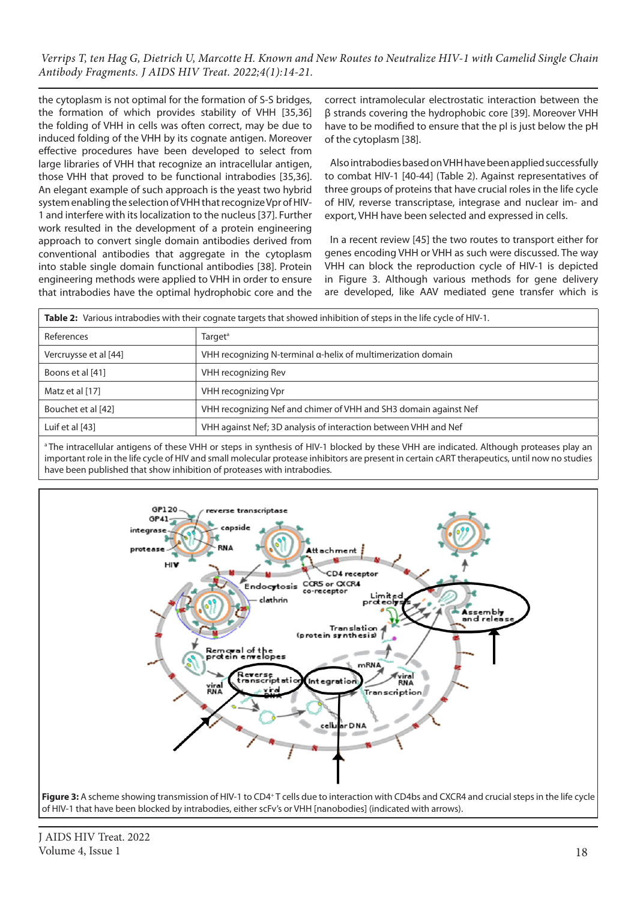the cytoplasm is not optimal for the formation of S-S bridges, the formation of which provides stability of VHH [35,36] the folding of VHH in cells was often correct, may be due to induced folding of the VHH by its cognate antigen. Moreover effective procedures have been developed to select from large libraries of VHH that recognize an intracellular antigen, those VHH that proved to be functional intrabodies [35,36]. An elegant example of such approach is the yeast two hybrid system enabling the selection of VHH that recognize Vpr of HIV-1 and interfere with its localization to the nucleus [37]. Further work resulted in the development of a protein engineering approach to convert single domain antibodies derived from conventional antibodies that aggregate in the cytoplasm into stable single domain functional antibodies [38]. Protein engineering methods were applied to VHH in order to ensure that intrabodies have the optimal hydrophobic core and the correct intramolecular electrostatic interaction between the β strands covering the hydrophobic core [39]. Moreover VHH have to be modified to ensure that the pI is just below the pH of the cytoplasm [38].

Also intrabodies based on VHH have been applied successfully to combat HIV-1 [40-44] (Table 2). Against representatives of three groups of proteins that have crucial roles in the life cycle of HIV, reverse transcriptase, integrase and nuclear im- and export, VHH have been selected and expressed in cells.

In a recent review [45] the two routes to transport either for genes encoding VHH or VHH as such were discussed. The way VHH can block the reproduction cycle of HIV-1 is depicted in Figure 3. Although various methods for gene delivery are developed, like AAV mediated gene transfer which is

| Table 2: Various intrabodies with their cognate targets that showed inhibition of steps in the life cycle of HIV-1. |                                                                  |  |
|---------------------------------------------------------------------------------------------------------------------|------------------------------------------------------------------|--|
| References                                                                                                          | Target <sup>a</sup>                                              |  |
| Vercruysse et al [44]                                                                                               | VHH recognizing N-terminal α-helix of multimerization domain     |  |
| Boons et al [41]                                                                                                    | VHH recognizing Rev                                              |  |
| Matz et al [17]                                                                                                     | VHH recognizing Vpr                                              |  |
| Bouchet et al [42]                                                                                                  | VHH recognizing Nef and chimer of VHH and SH3 domain against Nef |  |
| Luif et al [43]                                                                                                     | VHH against Nef; 3D analysis of interaction between VHH and Nef  |  |

<sup>a</sup> The intracellular antigens of these VHH or steps in synthesis of HIV-1 blocked by these VHH are indicated. Although proteases play an important role in the life cycle of HIV and small molecular protease inhibitors are present in certain cART therapeutics, until now no studies have been published that show inhibition of proteases with intrabodies.



of HIV-1 that have been blocked by intrabodies, either scFv's or VHH [nanobodies] (indicated with arrows).

J AIDS HIV Treat. 2022 Volume 4, Issue 1 18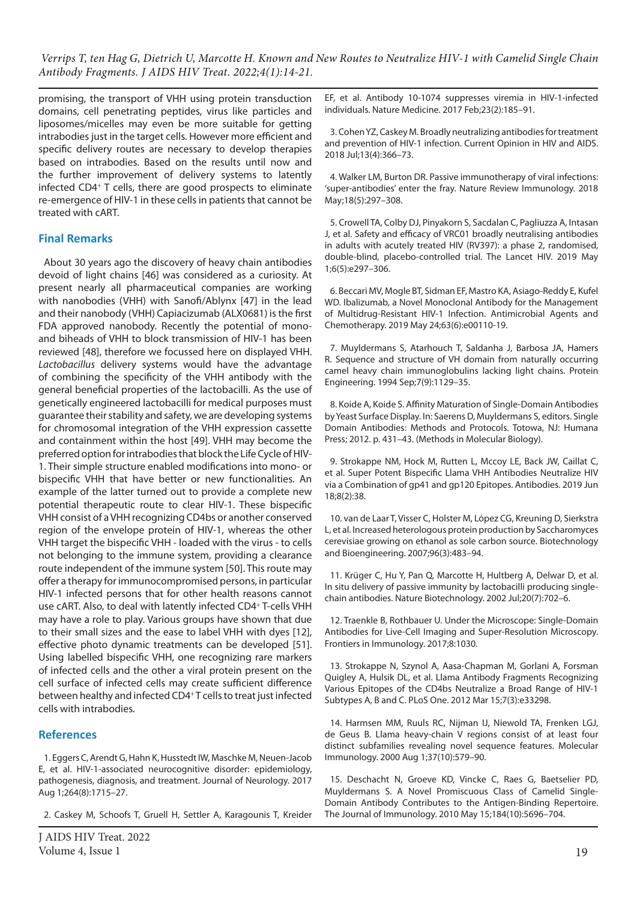promising, the transport of VHH using protein transduction domains, cell penetrating peptides, virus like particles and liposomes/micelles may even be more suitable for getting intrabodies just in the target cells. However more efficient and specific delivery routes are necessary to develop therapies based on intrabodies. Based on the results until now and the further improvement of delivery systems to latently infected CD4+ T cells, there are good prospects to eliminate re-emergence of HIV-1 in these cells in patients that cannot be treated with cART.

## **Final Remarks**

About 30 years ago the discovery of heavy chain antibodies devoid of light chains [46] was considered as a curiosity. At present nearly all pharmaceutical companies are working with nanobodies (VHH) with Sanofi/Ablynx [47] in the lead and their nanobody (VHH) Capiacizumab (ALX0681) is the first FDA approved nanobody. Recently the potential of monoand biheads of VHH to block transmission of HIV-1 has been reviewed [48], therefore we focussed here on displayed VHH. *Lactobacillus* delivery systems would have the advantage of combining the specificity of the VHH antibody with the general beneficial properties of the lactobacilli. As the use of genetically engineered lactobacilli for medical purposes must guarantee their stability and safety, we are developing systems for chromosomal integration of the VHH expression cassette and containment within the host [49]. VHH may become the preferred option for intrabodies that block the Life Cycle of HIV-1. Their simple structure enabled modifications into mono- or bispecific VHH that have better or new functionalities. An example of the latter turned out to provide a complete new potential therapeutic route to clear HIV-1. These bispecific VHH consist of a VHH recognizing CD4bs or another conserved region of the envelope protein of HIV-1, whereas the other VHH target the bispecific VHH - loaded with the virus - to cells not belonging to the immune system, providing a clearance route independent of the immune system [50]. This route may offer a therapy for immunocompromised persons, in particular HIV-1 infected persons that for other health reasons cannot use cART. Also, to deal with latently infected CD4+ T-cells VHH may have a role to play. Various groups have shown that due to their small sizes and the ease to label VHH with dyes [12], effective photo dynamic treatments can be developed [51]. Using labelled bispecific VHH, one recognizing rare markers of infected cells and the other a viral protein present on the cell surface of infected cells may create sufficient difference between healthy and infected CD4+ T cells to treat just infected cells with intrabodies.

#### **References**

1. Eggers C, Arendt G, Hahn K, Husstedt IW, Maschke M, Neuen-Jacob E, et al. HIV-1-associated neurocognitive disorder: epidemiology, pathogenesis, diagnosis, and treatment. Journal of Neurology. 2017 Aug 1;264(8):1715–27.

2. Caskey M, Schoofs T, Gruell H, Settler A, Karagounis T, Kreider

J AIDS HIV Treat. 2022 Volume 4, Issue 1 19

EF, et al. Antibody 10-1074 suppresses viremia in HIV-1-infected individuals. Nature Medicine. 2017 Feb;23(2):185–91.

3. Cohen YZ, Caskey M. Broadly neutralizing antibodies for treatment and prevention of HIV-1 infection. Current Opinion in HIV and AIDS. 2018 Jul;13(4):366–73.

4. Walker LM, Burton DR. Passive immunotherapy of viral infections: 'super-antibodies' enter the fray. Nature Review Immunology. 2018 May;18(5):297–308.

5. Crowell TA, Colby DJ, Pinyakorn S, Sacdalan C, Pagliuzza A, Intasan J, et al. Safety and efficacy of VRC01 broadly neutralising antibodies in adults with acutely treated HIV (RV397): a phase 2, randomised, double-blind, placebo-controlled trial. The Lancet HIV. 2019 May 1;6(5):e297–306.

6. Beccari MV, Mogle BT, Sidman EF, Mastro KA, Asiago-Reddy E, Kufel WD. Ibalizumab, a Novel Monoclonal Antibody for the Management of Multidrug-Resistant HIV-1 Infection. Antimicrobial Agents and Chemotherapy. 2019 May 24;63(6):e00110-19.

7. Muyldermans S, Atarhouch T, Saldanha J, Barbosa JA, Hamers R. Sequence and structure of VH domain from naturally occurring camel heavy chain immunoglobulins lacking light chains. Protein Engineering. 1994 Sep;7(9):1129–35.

8. Koide A, Koide S. Affinity Maturation of Single-Domain Antibodies by Yeast Surface Display. In: Saerens D, Muyldermans S, editors. Single Domain Antibodies: Methods and Protocols. Totowa, NJ: Humana Press; 2012. p. 431–43. (Methods in Molecular Biology).

9. Strokappe NM, Hock M, Rutten L, Mccoy LE, Back JW, Caillat C, et al. Super Potent Bispecific Llama VHH Antibodies Neutralize HIV via a Combination of gp41 and gp120 Epitopes. Antibodies. 2019 Jun 18;8(2):38.

10. van de Laar T, Visser C, Holster M, López CG, Kreuning D, Sierkstra L, et al. Increased heterologous protein production by Saccharomyces cerevisiae growing on ethanol as sole carbon source. Biotechnology and Bioengineering. 2007;96(3):483–94.

11. Krüger C, Hu Y, Pan Q, Marcotte H, Hultberg A, Delwar D, et al. In situ delivery of passive immunity by lactobacilli producing singlechain antibodies. Nature Biotechnology. 2002 Jul;20(7):702–6.

12. Traenkle B, Rothbauer U. Under the Microscope: Single-Domain Antibodies for Live-Cell Imaging and Super-Resolution Microscopy. Frontiers in Immunology. 2017;8:1030.

13. Strokappe N, Szynol A, Aasa-Chapman M, Gorlani A, Forsman Quigley A, Hulsik DL, et al. Llama Antibody Fragments Recognizing Various Epitopes of the CD4bs Neutralize a Broad Range of HIV-1 Subtypes A, B and C. PLoS One. 2012 Mar 15;7(3):e33298.

14. Harmsen MM, Ruuls RC, Nijman IJ, Niewold TA, Frenken LGJ, de Geus B. Llama heavy-chain V regions consist of at least four distinct subfamilies revealing novel sequence features. Molecular Immunology. 2000 Aug 1;37(10):579–90.

15. Deschacht N, Groeve KD, Vincke C, Raes G, Baetselier PD, Muyldermans S. A Novel Promiscuous Class of Camelid Single-Domain Antibody Contributes to the Antigen-Binding Repertoire. The Journal of Immunology. 2010 May 15;184(10):5696–704.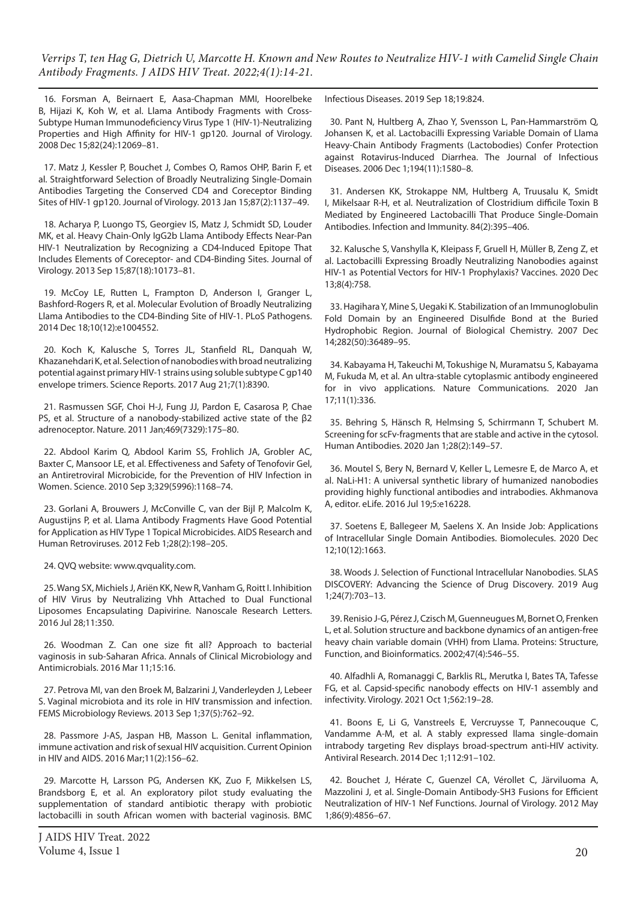16. Forsman A, Beirnaert E, Aasa-Chapman MMI, Hoorelbeke B, Hijazi K, Koh W, et al. Llama Antibody Fragments with Cross-Subtype Human Immunodeficiency Virus Type 1 (HIV-1)-Neutralizing Properties and High Affinity for HIV-1 gp120. Journal of Virology. 2008 Dec 15;82(24):12069–81.

17. Matz J, Kessler P, Bouchet J, Combes O, Ramos OHP, Barin F, et al. Straightforward Selection of Broadly Neutralizing Single-Domain Antibodies Targeting the Conserved CD4 and Coreceptor Binding Sites of HIV-1 gp120. Journal of Virology. 2013 Jan 15;87(2):1137–49.

18. Acharya P, Luongo TS, Georgiev IS, Matz J, Schmidt SD, Louder MK, et al. Heavy Chain-Only IgG2b Llama Antibody Effects Near-Pan HIV-1 Neutralization by Recognizing a CD4-Induced Epitope That Includes Elements of Coreceptor- and CD4-Binding Sites. Journal of Virology. 2013 Sep 15;87(18):10173–81.

19. McCoy LE, Rutten L, Frampton D, Anderson I, Granger L, Bashford-Rogers R, et al. Molecular Evolution of Broadly Neutralizing Llama Antibodies to the CD4-Binding Site of HIV-1. PLoS Pathogens. 2014 Dec 18;10(12):e1004552.

20. Koch K, Kalusche S, Torres JL, Stanfield RL, Danquah W, Khazanehdari K, et al. Selection of nanobodies with broad neutralizing potential against primary HIV-1 strains using soluble subtype C gp140 envelope trimers. Science Reports. 2017 Aug 21;7(1):8390.

21. Rasmussen SGF, Choi H-J, Fung JJ, Pardon E, Casarosa P, Chae PS, et al. Structure of a nanobody-stabilized active state of the β2 adrenoceptor. Nature. 2011 Jan;469(7329):175–80.

22. Abdool Karim Q, Abdool Karim SS, Frohlich JA, Grobler AC, Baxter C, Mansoor LE, et al. Effectiveness and Safety of Tenofovir Gel, an Antiretroviral Microbicide, for the Prevention of HIV Infection in Women. Science. 2010 Sep 3;329(5996):1168–74.

23. Gorlani A, Brouwers J, McConville C, van der Bijl P, Malcolm K, Augustijns P, et al. Llama Antibody Fragments Have Good Potential for Application as HIV Type 1 Topical Microbicides. AIDS Research and Human Retroviruses. 2012 Feb 1;28(2):198–205.

24. QVQ website: www.qvquality.com.

25. Wang SX, Michiels J, Ariën KK, New R, Vanham G, Roitt I. Inhibition of HIV Virus by Neutralizing Vhh Attached to Dual Functional Liposomes Encapsulating Dapivirine. Nanoscale Research Letters. 2016 Jul 28;11:350.

26. Woodman Z. Can one size fit all? Approach to bacterial vaginosis in sub-Saharan Africa. Annals of Clinical Microbiology and Antimicrobials. 2016 Mar 11;15:16.

27. Petrova MI, van den Broek M, Balzarini J, Vanderleyden J, Lebeer S. Vaginal microbiota and its role in HIV transmission and infection. FEMS Microbiology Reviews. 2013 Sep 1;37(5):762–92.

28. Passmore J-AS, Jaspan HB, Masson L. Genital inflammation, immune activation and risk of sexual HIV acquisition. Current Opinion in HIV and AIDS. 2016 Mar;11(2):156–62.

29. Marcotte H, Larsson PG, Andersen KK, Zuo F, Mikkelsen LS, Brandsborg E, et al. An exploratory pilot study evaluating the supplementation of standard antibiotic therapy with probiotic lactobacilli in south African women with bacterial vaginosis. BMC

Infectious Diseases. 2019 Sep 18;19:824.

30. Pant N, Hultberg A, Zhao Y, Svensson L, Pan-Hammarström Q, Johansen K, et al. Lactobacilli Expressing Variable Domain of Llama Heavy-Chain Antibody Fragments (Lactobodies) Confer Protection against Rotavirus-Induced Diarrhea. The Journal of Infectious Diseases. 2006 Dec 1;194(11):1580–8.

31. Andersen KK, Strokappe NM, Hultberg A, Truusalu K, Smidt I, Mikelsaar R-H, et al. Neutralization of Clostridium difficile Toxin B Mediated by Engineered Lactobacilli That Produce Single-Domain Antibodies. Infection and Immunity. 84(2):395–406.

32. Kalusche S, Vanshylla K, Kleipass F, Gruell H, Müller B, Zeng Z, et al. Lactobacilli Expressing Broadly Neutralizing Nanobodies against HIV-1 as Potential Vectors for HIV-1 Prophylaxis? Vaccines. 2020 Dec 13;8(4):758.

33. Hagihara Y, Mine S, Uegaki K. Stabilization of an Immunoglobulin Fold Domain by an Engineered Disulfide Bond at the Buried Hydrophobic Region. Journal of Biological Chemistry. 2007 Dec 14;282(50):36489–95.

34. Kabayama H, Takeuchi M, Tokushige N, Muramatsu S, Kabayama M, Fukuda M, et al. An ultra-stable cytoplasmic antibody engineered for in vivo applications. Nature Communications. 2020 Jan 17;11(1):336.

35. Behring S, Hänsch R, Helmsing S, Schirrmann T, Schubert M. Screening for scFv-fragments that are stable and active in the cytosol. Human Antibodies. 2020 Jan 1;28(2):149–57.

36. Moutel S, Bery N, Bernard V, Keller L, Lemesre E, de Marco A, et al. NaLi-H1: A universal synthetic library of humanized nanobodies providing highly functional antibodies and intrabodies. Akhmanova A, editor. eLife. 2016 Jul 19;5:e16228.

37. Soetens E, Ballegeer M, Saelens X. An Inside Job: Applications of Intracellular Single Domain Antibodies. Biomolecules. 2020 Dec 12;10(12):1663.

38. Woods J. Selection of Functional Intracellular Nanobodies. SLAS DISCOVERY: Advancing the Science of Drug Discovery. 2019 Aug 1;24(7):703–13.

39. Renisio J-G, Pérez J, Czisch M, Guenneugues M, Bornet O, Frenken L, et al. Solution structure and backbone dynamics of an antigen-free heavy chain variable domain (VHH) from Llama. Proteins: Structure, Function, and Bioinformatics. 2002;47(4):546–55.

40. Alfadhli A, Romanaggi C, Barklis RL, Merutka I, Bates TA, Tafesse FG, et al. Capsid-specific nanobody effects on HIV-1 assembly and infectivity. Virology. 2021 Oct 1;562:19–28.

41. Boons E, Li G, Vanstreels E, Vercruysse T, Pannecouque C, Vandamme A-M, et al. A stably expressed llama single-domain intrabody targeting Rev displays broad-spectrum anti-HIV activity. Antiviral Research. 2014 Dec 1;112:91–102.

42. Bouchet J, Hérate C, Guenzel CA, Vérollet C, Järviluoma A, Mazzolini J, et al. Single-Domain Antibody-SH3 Fusions for Efficient Neutralization of HIV-1 Nef Functions. Journal of Virology. 2012 May 1;86(9):4856–67.